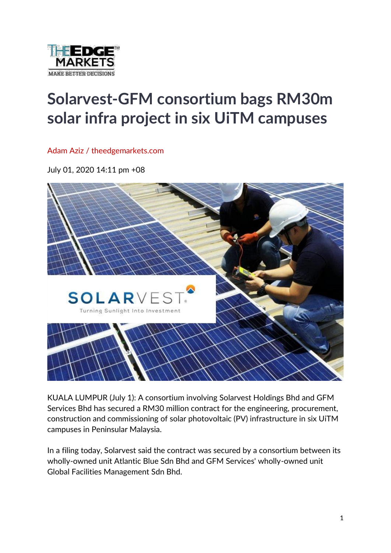

## **Solarvest-GFM consortium bags RM30m solar infra project in six UiTM campuses**

Adam Aziz / theedgemarkets.com

July 01, 2020 14:11 pm +08



KUALA LUMPUR (July 1): A consortium involving Solarvest Holdings Bhd and GFM Services Bhd has secured a RM30 million contract for the engineering, procurement, construction and commissioning of solar photovoltaic (PV) infrastructure in six UiTM campuses in Peninsular Malaysia.

In a filing today, Solarvest said the contract was secured by a consortium between its wholly-owned unit Atlantic Blue Sdn Bhd and GFM Services' wholly-owned unit Global Facilities Management Sdn Bhd.